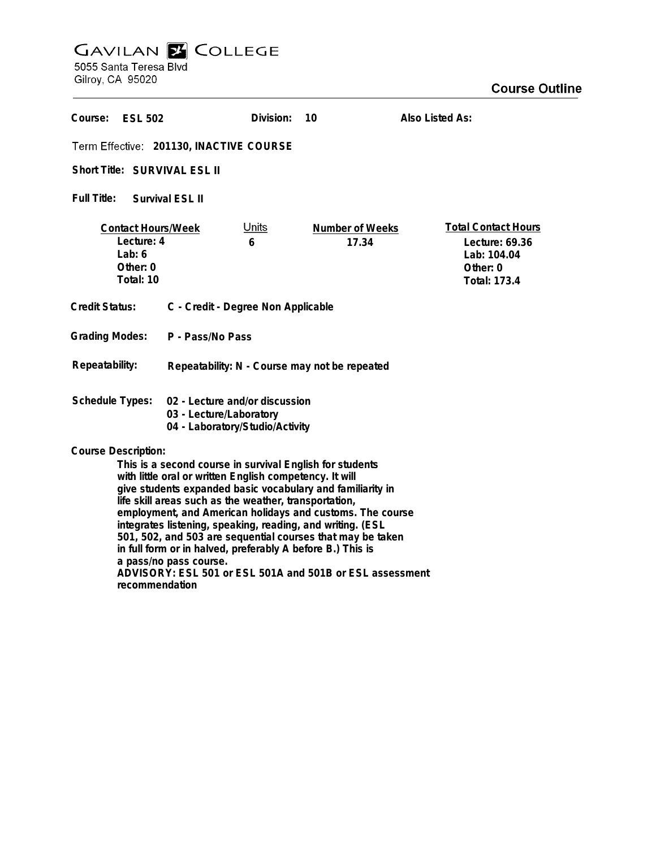## **GAVILAN E COLLEGE**<br>5055 Santa Teresa Blvd

Gilroy, CA 95020

| Course:<br><b>ESL 502</b>                                                                                                                                                                                                                                                                                                                                                                                                                                                                                                                                 |                                                                                              | Division:         | 10                       | Also Listed As:                                                                                |
|-----------------------------------------------------------------------------------------------------------------------------------------------------------------------------------------------------------------------------------------------------------------------------------------------------------------------------------------------------------------------------------------------------------------------------------------------------------------------------------------------------------------------------------------------------------|----------------------------------------------------------------------------------------------|-------------------|--------------------------|------------------------------------------------------------------------------------------------|
| Term Effective: 201130, INACTIVE COURSE                                                                                                                                                                                                                                                                                                                                                                                                                                                                                                                   |                                                                                              |                   |                          |                                                                                                |
| Short Title: SURVIVAL ESL II                                                                                                                                                                                                                                                                                                                                                                                                                                                                                                                              |                                                                                              |                   |                          |                                                                                                |
| Full Title:<br>Survival ESL II                                                                                                                                                                                                                                                                                                                                                                                                                                                                                                                            |                                                                                              |                   |                          |                                                                                                |
| <b>Contact Hours/Week</b><br>Lecture: 4<br>Lab: $6$<br>Other: 0<br>Total: 10                                                                                                                                                                                                                                                                                                                                                                                                                                                                              |                                                                                              | <u>Units</u><br>6 | Number of Weeks<br>17.34 | <b>Total Contact Hours</b><br>Lecture: 69.36<br>Lab: 104.04<br>Other: 0<br><b>Total: 173.4</b> |
| <b>Credit Status:</b>                                                                                                                                                                                                                                                                                                                                                                                                                                                                                                                                     | C - Credit - Degree Non Applicable                                                           |                   |                          |                                                                                                |
| <b>Grading Modes:</b>                                                                                                                                                                                                                                                                                                                                                                                                                                                                                                                                     | P - Pass/No Pass                                                                             |                   |                          |                                                                                                |
| Repeatability:                                                                                                                                                                                                                                                                                                                                                                                                                                                                                                                                            | Repeatability: N - Course may not be repeated                                                |                   |                          |                                                                                                |
| Schedule Types:                                                                                                                                                                                                                                                                                                                                                                                                                                                                                                                                           | 02 - Lecture and/or discussion<br>03 - Lecture/Laboratory<br>04 - Laboratory/Studio/Activity |                   |                          |                                                                                                |
| <b>Course Description:</b><br>This is a second course in survival English for students<br>with little oral or written English competency. It will<br>give students expanded basic vocabulary and familiarity in<br>life skill areas such as the weather, transportation,<br>employment, and American holidays and customs. The course<br>integrates listening, speaking, reading, and writing. (ESL<br>501, 502, and 503 are sequential courses that may be taken<br>in full form or in halved, preferably A before B.) This is<br>a pass/no pass course. |                                                                                              |                   |                          |                                                                                                |

**ADVISORY: ESL 501 or ESL 501A and 501B or ESL assessment recommendation**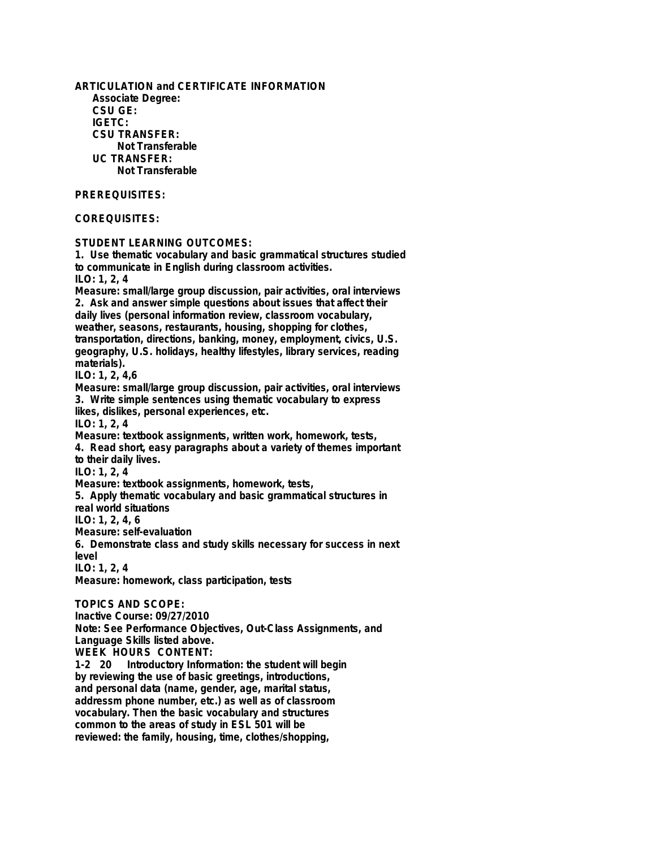**ARTICULATION and CERTIFICATE INFORMATION Associate Degree: CSU GE: IGETC: CSU TRANSFER: Not Transferable UC TRANSFER: Not Transferable PREREQUISITES: COREQUISITES: STUDENT LEARNING OUTCOMES: 1. Use thematic vocabulary and basic grammatical structures studied to communicate in English during classroom activities. ILO: 1, 2, 4 Measure: small/large group discussion, pair activities, oral interviews 2. Ask and answer simple questions about issues that affect their daily lives (personal information review, classroom vocabulary, weather, seasons, restaurants, housing, shopping for clothes, transportation, directions, banking, money, employment, civics, U.S. geography, U.S. holidays, healthy lifestyles, library services, reading materials). ILO: 1, 2, 4,6 Measure: small/large group discussion, pair activities, oral interviews 3. Write simple sentences using thematic vocabulary to express likes, dislikes, personal experiences, etc. ILO: 1, 2, 4 Measure: textbook assignments, written work, homework, tests, 4. Read short, easy paragraphs about a variety of themes important to their daily lives. ILO: 1, 2, 4 Measure: textbook assignments, homework, tests, 5. Apply thematic vocabulary and basic grammatical structures in real world situations ILO: 1, 2, 4, 6 Measure: self-evaluation 6. Demonstrate class and study skills necessary for success in next level ILO: 1, 2, 4 Measure: homework, class participation, tests TOPICS AND SCOPE: Inactive Course: 09/27/2010 Note: See Performance Objectives, Out-Class Assignments, and Language Skills listed above. WEEK HOURS CONTENT: 1-2 20 Introductory Information: the student will begin by reviewing the use of basic greetings, introductions, and personal data (name, gender, age, marital status, addressm phone number, etc.) as well as of classroom vocabulary. Then the basic vocabulary and structures common to the areas of study in ESL 501 will be**

**reviewed: the family, housing, time, clothes/shopping,**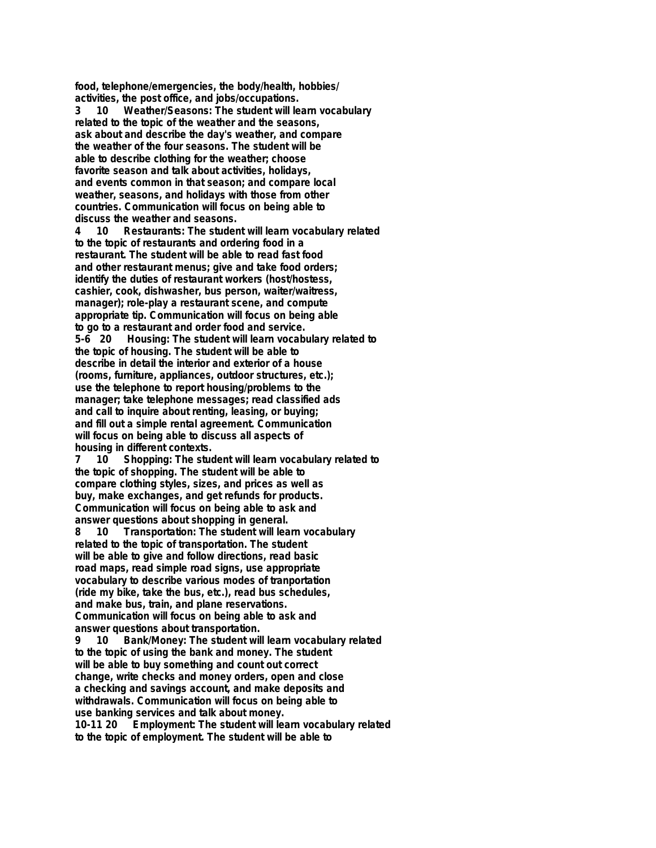**food, telephone/emergencies, the body/health, hobbies/ activities, the post office, and jobs/occupations.**

**3 10 Weather/Seasons: The student will learn vocabulary related to the topic of the weather and the seasons, ask about and describe the day's weather, and compare the weather of the four seasons. The student will be able to describe clothing for the weather; choose favorite season and talk about activities, holidays, and events common in that season; and compare local weather, seasons, and holidays with those from other countries. Communication will focus on being able to discuss the weather and seasons.**

**4 10 Restaurants: The student will learn vocabulary related to the topic of restaurants and ordering food in a restaurant. The student will be able to read fast food and other restaurant menus; give and take food orders; identify the duties of restaurant workers (host/hostess, cashier, cook, dishwasher, bus person, waiter/waitress, manager); role-play a restaurant scene, and compute appropriate tip. Communication will focus on being able to go to a restaurant and order food and service. 5-6 20 Housing: The student will learn vocabulary related to the topic of housing. The student will be able to describe in detail the interior and exterior of a house (rooms, furniture, appliances, outdoor structures, etc.); use the telephone to report housing/problems to the manager; take telephone messages; read classified ads and call to inquire about renting, leasing, or buying; and fill out a simple rental agreement. Communication will focus on being able to discuss all aspects of housing in different contexts.**

**7 10 Shopping: The student will learn vocabulary related to the topic of shopping. The student will be able to compare clothing styles, sizes, and prices as well as buy, make exchanges, and get refunds for products. Communication will focus on being able to ask and answer questions about shopping in general.**

**8 10 Transportation: The student will learn vocabulary related to the topic of transportation. The student will be able to give and follow directions, read basic road maps, read simple road signs, use appropriate vocabulary to describe various modes of tranportation (ride my bike, take the bus, etc.), read bus schedules, and make bus, train, and plane reservations. Communication will focus on being able to ask and answer questions about transportation.**

**9 10 Bank/Money: The student will learn vocabulary related to the topic of using the bank and money. The student will be able to buy something and count out correct change, write checks and money orders, open and close a checking and savings account, and make deposits and withdrawals. Communication will focus on being able to use banking services and talk about money. 10-11 Employment: The student will learn vocabulary related** 

**to the topic of employment. The student will be able to**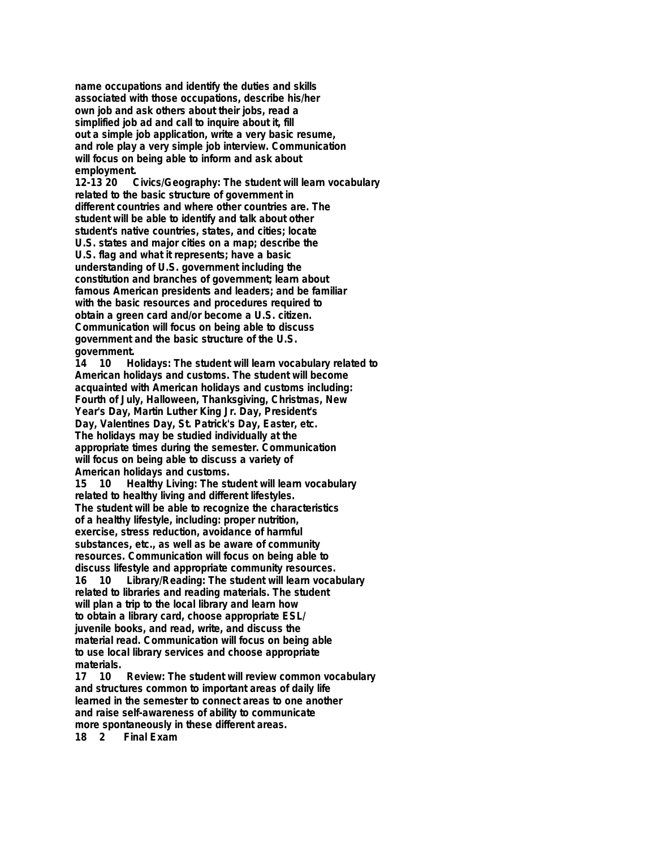**name occupations and identify the duties and skills associated with those occupations, describe his/her own job and ask others about their jobs, read a simplified job ad and call to inquire about it, fill out a simple job application, write a very basic resume, and role play a very simple job interview. Communication will focus on being able to inform and ask about employment.**

**12-13 20 Civics/Geography: The student will learn vocabulary related to the basic structure of government in different countries and where other countries are. The student will be able to identify and talk about other student's native countries, states, and cities; locate U.S. states and major cities on a map; describe the U.S. flag and what it represents; have a basic understanding of U.S. government including the constitution and branches of government; learn about famous American presidents and leaders; and be familiar with the basic resources and procedures required to obtain a green card and/or become a U.S. citizen. Communication will focus on being able to discuss government and the basic structure of the U.S. government.**

**14 10 Holidays: The student will learn vocabulary related to American holidays and customs. The student will become acquainted with American holidays and customs including: Fourth of July, Halloween, Thanksgiving, Christmas, New Year's Day, Martin Luther King Jr. Day, President's Day, Valentines Day, St. Patrick's Day, Easter, etc. The holidays may be studied individually at the appropriate times during the semester. Communication will focus on being able to discuss a variety of American holidays and customs.**

**15 10 Healthy Living: The student will learn vocabulary related to healthy living and different lifestyles. The student will be able to recognize the characteristics of a healthy lifestyle, including: proper nutrition, exercise, stress reduction, avoidance of harmful substances, etc., as well as be aware of community resources. Communication will focus on being able to discuss lifestyle and appropriate community resources. 16 10 Library/Reading: The student will learn vocabulary related to libraries and reading materials. The student will plan a trip to the local library and learn how to obtain a library card, choose appropriate ESL/ juvenile books, and read, write, and discuss the material read. Communication will focus on being able to use local library services and choose appropriate**

materials.<br>17 10 **17 10 Review: The student will review common vocabulary and structures common to important areas of daily life learned in the semester to connect areas to one another and raise self-awareness of ability to communicate**

more spontaneously in these different areas.<br>18 2 Final Exam

**1** Final Exam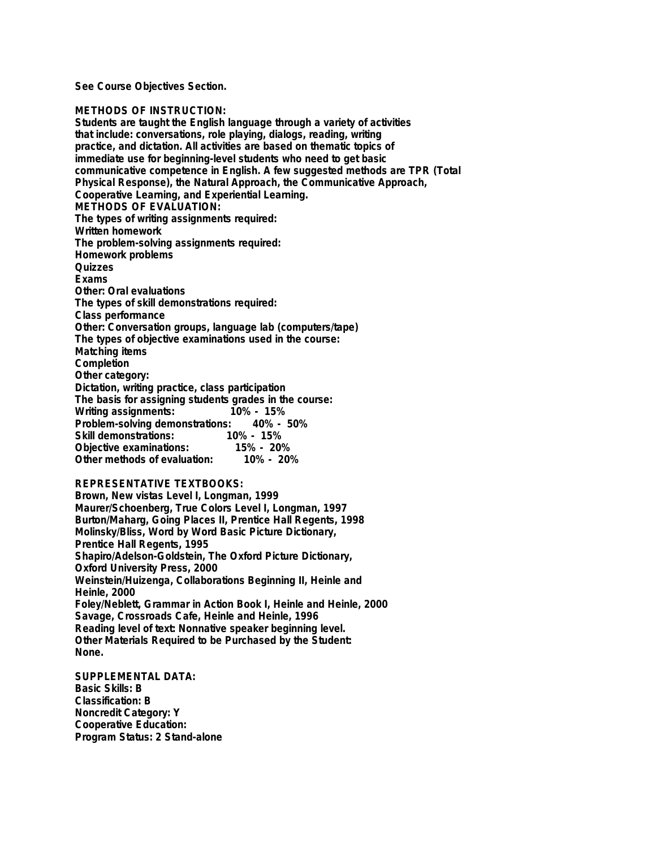**See Course Objectives Section.**

## **METHODS OF INSTRUCTION:**

**Students are taught the English language through a variety of activities that include: conversations, role playing, dialogs, reading, writing practice, and dictation. All activities are based on thematic topics of immediate use for beginning-level students who need to get basic communicative competence in English. A few suggested methods are TPR (Total Physical Response), the Natural Approach, the Communicative Approach, Cooperative Learning, and Experiential Learning. METHODS OF EVALUATION: The types of writing assignments required: Written homework The problem-solving assignments required: Homework problems Quizzes Exams Other: Oral evaluations The types of skill demonstrations required: Class performance Other: Conversation groups, language lab (computers/tape) The types of objective examinations used in the course: Matching items Completion Other category: Dictation, writing practice, class participation The basis for assigning students grades in the course: Writing assignments: Problem-solving demonstrations: 40% - 50%** د<br>10% - 15% <sub>-</sub> 15%<br>15% - 15% **Objective examinations: 15% - 20% Other methods of evaluation: REPRESENTATIVE TEXTBOOKS: Brown, New vistas Level I, Longman, 1999**

## **Maurer/Schoenberg, True Colors Level I, Longman, 1997 Burton/Maharg, Going Places II, Prentice Hall Regents, 1998 Molinsky/Bliss, Word by Word Basic Picture Dictionary, Prentice Hall Regents, 1995 Shapiro/Adelson-Goldstein, The Oxford Picture Dictionary, Oxford University Press, 2000 Weinstein/Huizenga, Collaborations Beginning II, Heinle and Heinle, 2000 Foley/Neblett, Grammar in Action Book I, Heinle and Heinle, 2000 Savage, Crossroads Cafe, Heinle and Heinle, 1996 Reading level of text: Nonnative speaker beginning level. Other Materials Required to be Purchased by the Student: None.**

**SUPPLEMENTAL DATA: Basic Skills: B Classification: B Noncredit Category: Y Cooperative Education: Program Status: 2 Stand-alone**